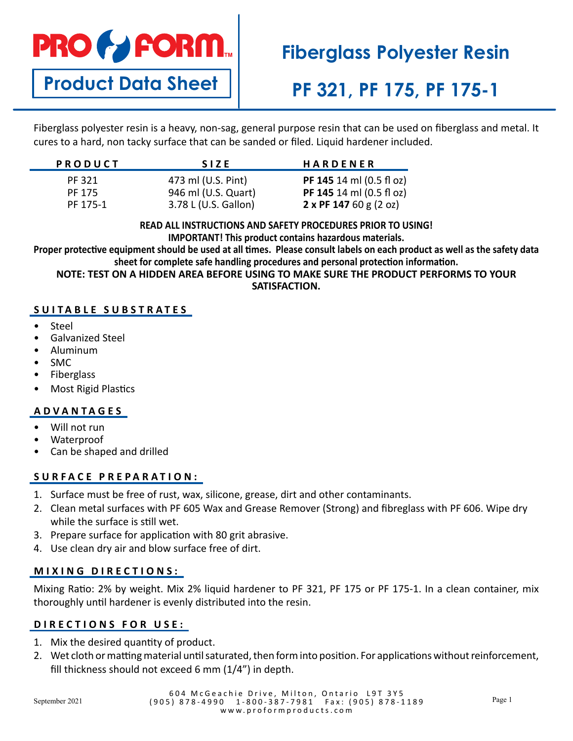

**Product Data Sheet**

# **Fiberglass Polyester Resin**

# **PF 321, PF 175, PF 175-1**

Fiberglass polyester resin is a heavy, non-sag, general purpose resin that can be used on fiberglass and metal. It cures to a hard, non tacky surface that can be sanded or filed. Liquid hardener included.

| <b>PRODUCT</b> | <b>SIZE</b>          | <b>HARDENER</b>          |
|----------------|----------------------|--------------------------|
| PF 321         | 473 ml (U.S. Pint)   | PF 145 14 ml (0.5 fl oz) |
| PF 175         | 946 ml (U.S. Quart)  | PF 145 14 ml (0.5 fl oz) |
| PF 175-1       | 3.78 L (U.S. Gallon) | 2 x PF 147 60 g $(2 oz)$ |

**READ ALL INSTRUCTIONS AND SAFETY PROCEDURES PRIOR TO USING! IMPORTANT! This product contains hazardous materials.**

**Proper protective equipment should be used at all times. Please consult labels on each product as well as the safety data sheet for complete safe handling procedures and personal protection information.**

**NOTE: TEST ON A HIDDEN AREA BEFORE USING TO MAKE SURE THE PRODUCT PERFORMS TO YOUR SATISFACTION.**

## **SUITABLE SUBSTRATES**

- Steel
- Galvanized Steel
- Aluminum
- SMC
- **Fiberglass**
- Most Rigid Plastics

## **ADVANTAGES**

- Will not run
- Waterproof
- Can be shaped and drilled

## **SURFACE PREPARATION:**

- 1. Surface must be free of rust, wax, silicone, grease, dirt and other contaminants.
- 2. Clean metal surfaces with PF 605 Wax and Grease Remover (Strong) and fibreglass with PF 606. Wipe dry while the surface is still wet.
- 3. Prepare surface for application with 80 grit abrasive.
- 4. Use clean dry air and blow surface free of dirt.

## **MIXING DIRECTIONS:**

Mixing Ratio: 2% by weight. Mix 2% liquid hardener to PF 321, PF 175 or PF 175-1. In a clean container, mix thoroughly until hardener is evenly distributed into the resin.

## **DIRECTIONS FOR USE:**

- 1. Mix the desired quantity of product.
- 2. Wet cloth or matting material until saturated, then form into position. For applications without reinforcement, fill thickness should not exceed 6 mm (1/4") in depth.